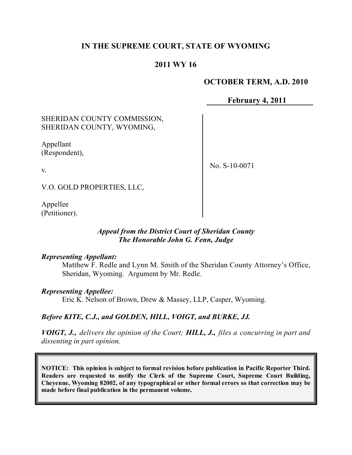# **IN THE SUPREME COURT, STATE OF WYOMING**

# **2011 WY 16**

## **OCTOBER TERM, A.D. 2010**

**February 4, 2011**

# SHERIDAN COUNTY COMMISSION, SHERIDAN COUNTY, WYOMING,

Appellant (Respondent),

v.

No. S-10-0071

V.O. GOLD PROPERTIES, LLC,

Appellee (Petitioner).

## *Appeal from the District Court of Sheridan County The Honorable John G. Fenn, Judge*

### *Representing Appellant:*

Matthew F. Redle and Lynn M. Smith of the Sheridan County Attorney's Office, Sheridan, Wyoming. Argument by Mr. Redle.

### *Representing Appellee:*

Eric K. Nelson of Brown, Drew & Massey, LLP, Casper, Wyoming.

## *Before KITE, C.J., and GOLDEN, HILL, VOIGT, and BURKE, JJ.*

*VOIGT, J., delivers the opinion of the Court; HILL, J., files a concurring in part and dissenting in part opinion.*

**NOTICE: This opinion is subject to formal revision before publication in Pacific Reporter Third. Readers are requested to notify the Clerk of the Supreme Court, Supreme Court Building, Cheyenne, Wyoming 82002, of any typographical or other formal errors so that correction may be made before final publication in the permanent volume.**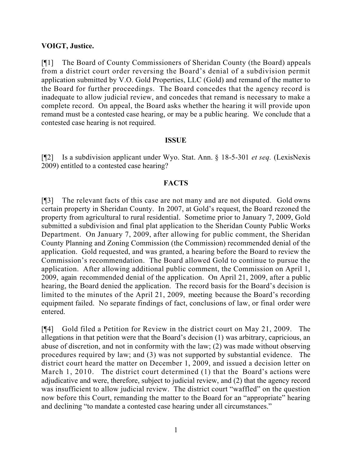## **VOIGT, Justice.**

[¶1] The Board of County Commissioners of Sheridan County (the Board) appeals from a district court order reversing the Board's denial of a subdivision permit application submitted by V.O. Gold Properties, LLC (Gold) and remand of the matter to the Board for further proceedings. The Board concedes that the agency record is inadequate to allow judicial review, and concedes that remand is necessary to make a complete record. On appeal, the Board asks whether the hearing it will provide upon remand must be a contested case hearing, or may be a public hearing. We conclude that a contested case hearing is not required.

### **ISSUE**

[¶2] Is a subdivision applicant under Wyo. Stat. Ann. § 18-5-301 *et seq.* (LexisNexis 2009) entitled to a contested case hearing?

## **FACTS**

[¶3] The relevant facts of this case are not many and are not disputed. Gold owns certain property in Sheridan County. In 2007, at Gold's request, the Board rezoned the property from agricultural to rural residential. Sometime prior to January 7, 2009, Gold submitted a subdivision and final plat application to the Sheridan County Public Works Department. On January 7, 2009, after allowing for public comment, the Sheridan County Planning and Zoning Commission (the Commission) recommended denial of the application. Gold requested, and was granted, a hearing before the Board to review the Commission's recommendation. The Board allowed Gold to continue to pursue the application. After allowing additional public comment, the Commission on April 1, 2009, again recommended denial of the application. On April 21, 2009, after a public hearing, the Board denied the application. The record basis for the Board's decision is limited to the minutes of the April 21, 2009, meeting because the Board's recording equipment failed. No separate findings of fact, conclusions of law, or final order were entered.

[¶4] Gold filed a Petition for Review in the district court on May 21, 2009. The allegations in that petition were that the Board's decision (1) was arbitrary, capricious, an abuse of discretion, and not in conformity with the law; (2) was made without observing procedures required by law; and (3) was not supported by substantial evidence. The district court heard the matter on December 1, 2009, and issued a decision letter on March 1, 2010. The district court determined (1) that the Board's actions were adjudicative and were, therefore, subject to judicial review, and (2) that the agency record was insufficient to allow judicial review. The district court "waffled" on the question now before this Court, remanding the matter to the Board for an "appropriate" hearing and declining "to mandate a contested case hearing under all circumstances."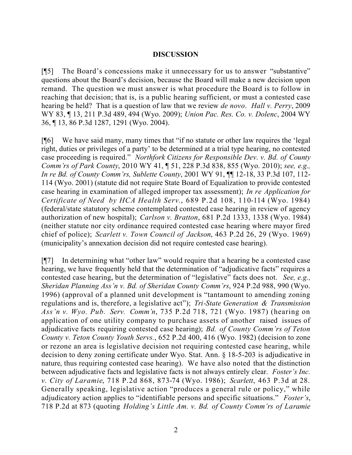## **DISCUSSION**

[¶5] The Board's concessions make it unnecessary for us to answer "substantive" questions about the Board's decision, because the Board will make a new decision upon remand. The question we must answer is what procedure the Board is to follow in reaching that decision; that is, is a public hearing sufficient, or must a contested case hearing be held? That is a question of law that we review *de novo*. *Hall v. Perry*, 2009 WY 83, ¶ 13, 211 P.3d 489, 494 (Wyo. 2009); *Union Pac. Res. Co. v. Dolenc*, 2004 WY 36, ¶ 13, 86 P.3d 1287, 1291 (Wyo. 2004).

[¶6] We have said many, many times that "if no statute or other law requires the 'legal right, duties or privileges of a party' to be determined at a trial type hearing, no contested case proceeding is required." *Northfork Citizens for Responsible Dev. v. Bd. of County Comm'rs of Park County*, 2010 WY 41, ¶ 51, 228 P.3d 838, 855 (Wyo. 2010); *see, e.g., In re Bd. of County Comm'rs, Sublette County*, 2001 WY 91, ¶¶ 12-18, 33 P.3d 107, 112- 114 (Wyo. 2001) (statute did not require State Board of Equalization to provide contested case hearing in examination of alleged improper tax assessment); *In re Application for Certificate of Need by HCA Health Serv.*, 689 P.2d 108, 110-114 (Wyo. 1984) (federal/state statutory scheme contemplated contested case hearing in review of agency authorization of new hospital); *Carlson v. Bratton*, 681 P.2d 1333, 1338 (Wyo. 1984) (neither statute nor city ordinance required contested case hearing where mayor fired chief of police); *Scarlett v. Town Council of Jackson*, 463 P.2d 26, 29 (Wyo. 1969) (municipality's annexation decision did not require contested case hearing).

[¶7] In determining what "other law" would require that a hearing be a contested case hearing, we have frequently held that the determination of "adjudicative facts" requires a contested case hearing, but the determination of "legislative" facts does not. *See, e.g., Sheridan Planning Ass'n v. Bd. of Sheridan County Comm'rs*, 924 P.2d 988, 990 (Wyo. 1996) (approval of a planned unit development is "tantamount to amending zoning regulations and is, therefore, a legislative act"); *Tri-State Generation & Transmission Ass'n v. Wyo. Pub. Serv. Comm'n*, 735 P.2d 718, 721 (Wyo. 1987) (hearing on application of one utility company to purchase assets of another raised issues of adjudicative facts requiring contested case hearing); *Bd. of County Comm'rs of Teton County v. Teton County Youth Servs.*, 652 P.2d 400, 416 (Wyo. 1982) (decision to zone or rezone an area is legislative decision not requiring contested case hearing, while decision to deny zoning certificate under Wyo. Stat. Ann. § 18-5-203 is adjudicative in nature, thus requiring contested case hearing). We have also noted that the distinction between adjudicative facts and legislative facts is not always entirely clear. *Foster's Inc. v. City of Laramie*, 718 P.2d 868, 873-74 (Wyo. 1986); *Scarlett*, 463 P.3d at 28. Generally speaking, legislative action "produces a general rule or policy," while adjudicatory action applies to "identifiable persons and specific situations." *Foster's*, 718 P.2d at 873 (quoting *Holding's Little Am. v. Bd. of County Comm'rs of Laramie*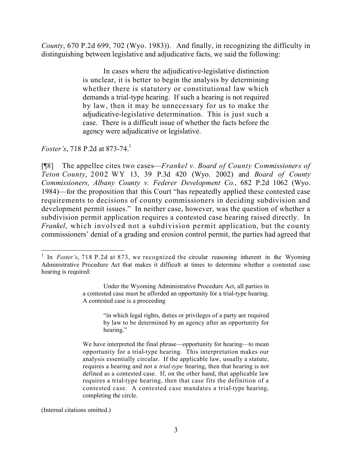*County*, 670 P.2d 699, 702 (Wyo. 1983)). And finally, in recognizing the difficulty in distinguishing between legislative and adjudicative facts, we said the following:

> In cases where the adjudicative-legislative distinction is unclear, it is better to begin the analysis by determining whether there is statutory or constitutional law which demands a trial-type hearing. If such a hearing is not required by law, then it may be unnecessary for us to make the adjudicative-legislative determination. This is just such a case. There is a difficult issue of whether the facts before the agency were adjudicative or legislative.

*Foster's*, 718 P.2d at 873-74.<sup>1</sup>

[¶8] The appellee cites two cases—*Frankel v. Board of County Commissioners of Teton County*, 2002 WY 13, 39 P.3d 420 (Wyo. 2002) and *Board of County Commissioners, Albany County v. Federer Development Co.*, 682 P.2d 1062 (Wyo. 1984)—for the proposition that this Court "has repeatedly applied these contested case requirements to decisions of county commissioners in deciding subdivision and development permit issues." In neither case, however, was the question of whether a subdivision permit application requires a contested case hearing raised directly. In *Frankel*, which involved not a subdivision permit application, but the county commissioners' denial of a grading and erosion control permit, the parties had agreed that

(Internal citations omitted.)

 <sup>1</sup> In *Foster's*, 718 P.2d at 873, we recognized the circular reasoning inherent in the Wyoming Administrative Procedure Act that makes it difficult at times to determine whether a contested case hearing is required:

Under the Wyoming Administrative Procedure Act, all parties in a contested case must be afforded an opportunity for a trial-type hearing. A contested case is a proceeding

<sup>&</sup>quot;in which legal rights, duties or privileges of a party are required by law to be determined by an agency after an opportunity for hearing."

We have interpreted the final phrase—opportunity for hearing—to mean opportunity for a trial-type hearing. This interpretation makes our analysis essentially circular. If the applicable law, usually a statute, requires a hearing and not a *trial-type* hearing, then that hearing is not defined as a contested case. If, on the other hand, that applicable law requires a trial-type hearing, then that case fits the definition of a contested case. A contested case mandates a trial-type hearing, completing the circle.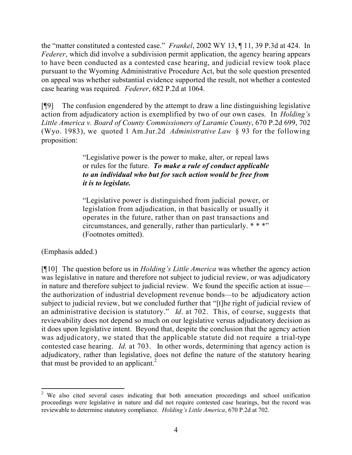the "matter constituted a contested case." *Frankel*, 2002 WY 13, ¶ 11, 39 P.3d at 424. In *Federer*, which did involve a subdivision permit application, the agency hearing appears to have been conducted as a contested case hearing, and judicial review took place pursuant to the Wyoming Administrative Procedure Act, but the sole question presented on appeal was whether substantial evidence supported the result, not whether a contested case hearing was required. *Federer*, 682 P.2d at 1064.

[¶9] The confusion engendered by the attempt to draw a line distinguishing legislative action from adjudicatory action is exemplified by two of our own cases. In *Holding's Little America v. Board of County Commissioners of Laramie County*, 670 P.2d 699, 702 (Wyo. 1983), we quoted 1 Am.Jur.2d *Administrative Law* § 93 for the following proposition:

> "Legislative power is the power to make, alter, or repeal laws or rules for the future. *To make a rule of conduct applicable to an individual who but for such action would be free from it is to legislate.*

> "Legislative power is distinguished from judicial power, or legislation from adjudication, in that basically or usually it operates in the future, rather than on past transactions and circumstances, and generally, rather than particularly. \* \* \*" (Footnotes omitted).

(Emphasis added.)

[¶10] The question before us in *Holding's Little America* was whether the agency action was legislative in nature and therefore not subject to judicial review, or was adjudicatory in nature and therefore subject to judicial review. We found the specific action at issue the authorization of industrial development revenue bonds—to be adjudicatory action subject to judicial review, but we concluded further that "[t]he right of judicial review of an administrative decision is statutory." *Id*. at 702. This, of course, suggests that reviewability does not depend so much on our legislative versus adjudicatory decision as it does upon legislative intent. Beyond that, despite the conclusion that the agency action was adjudicatory, we stated that the applicable statute did not require a trial-type contested case hearing. *Id*. at 703. In other words, determining that agency action is adjudicatory, rather than legislative, does not define the nature of the statutory hearing that must be provided to an applicant.<sup>2</sup>

 <sup>2</sup> We also cited several cases indicating that both annexation proceedings and school unification proceedings were legislative in nature and did not require contested case hearings, but the record was reviewable to determine statutory compliance. *Holding's Little America*, 670 P.2d at 702.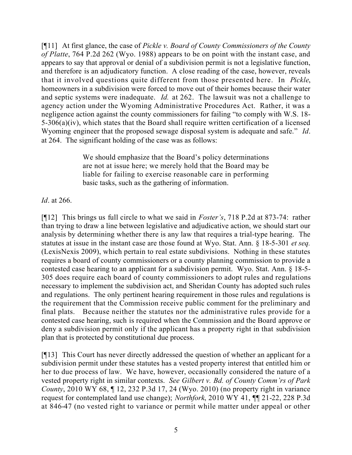[¶11] At first glance, the case of *Pickle v. Board of County Commissioners of the County of Platte*, 764 P.2d 262 (Wyo. 1988) appears to be on point with the instant case, and appears to say that approval or denial of a subdivision permit is not a legislative function, and therefore is an adjudicatory function. A close reading of the case, however, reveals that it involved questions quite different from those presented here. In *Pickle*, homeowners in a subdivision were forced to move out of their homes because their water and septic systems were inadequate. *Id.* at 262. The lawsuit was not a challenge to agency action under the Wyoming Administrative Procedures Act. Rather, it was a negligence action against the county commissioners for failing "to comply with W.S. 18- 5-306(a)(iv), which states that the Board shall require written certification of a licensed Wyoming engineer that the proposed sewage disposal system is adequate and safe." *Id*. at 264. The significant holding of the case was as follows:

> We should emphasize that the Board's policy determinations are not at issue here; we merely hold that the Board may be liable for failing to exercise reasonable care in performing basic tasks, such as the gathering of information.

*Id*. at 266.

[¶12] This brings us full circle to what we said in *Foster's*, 718 P.2d at 873-74: rather than trying to draw a line between legislative and adjudicative action, we should start our analysis by determining whether there is any law that requires a trial-type hearing. The statutes at issue in the instant case are those found at Wyo. Stat. Ann. § 18-5-301 *et seq.*  (LexisNexis 2009), which pertain to real estate subdivisions. Nothing in these statutes requires a board of county commissioners or a county planning commission to provide a contested case hearing to an applicant for a subdivision permit. Wyo. Stat. Ann. § 18-5- 305 does require each board of county commissioners to adopt rules and regulations necessary to implement the subdivision act, and Sheridan County has adopted such rules and regulations. The only pertinent hearing requirement in those rules and regulations is the requirement that the Commission receive public comment for the preliminary and final plats. Because neither the statutes nor the administrative rules provide for a contested case hearing, such is required when the Commission and the Board approve or deny a subdivision permit only if the applicant has a property right in that subdivision plan that is protected by constitutional due process.

[¶13] This Court has never directly addressed the question of whether an applicant for a subdivision permit under these statutes has a vested property interest that entitled him or her to due process of law. We have, however, occasionally considered the nature of a vested property right in similar contexts. *See Gilbert v. Bd. of County Comm'rs of Park County*, 2010 WY 68, ¶ 12, 232 P.3d 17, 24 (Wyo. 2010) (no property right in variance request for contemplated land use change); *Northfork*, 2010 WY 41, ¶¶ 21-22, 228 P.3d at 846-47 (no vested right to variance or permit while matter under appeal or other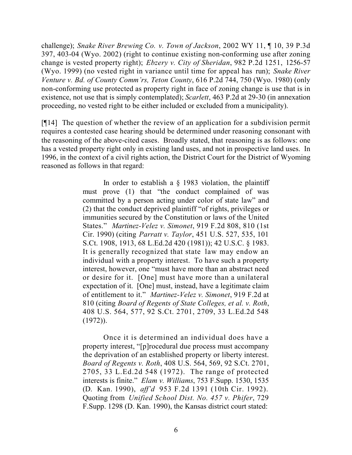challenge); *Snake River Brewing Co. v. Town of Jackson*, 2002 WY 11, ¶ 10, 39 P.3d 397, 403-04 (Wyo. 2002) (right to continue existing non-conforming use after zoning change is vested property right); *Ebzery v. City of Sheridan*, 982 P.2d 1251, 1256-57 (Wyo. 1999) (no vested right in variance until time for appeal has run); *Snake River Venture v. Bd. of County Comm'rs, Teton County*, 616 P.2d 744, 750 (Wyo. 1980) (only non-conforming use protected as property right in face of zoning change is use that is in existence, not use that is simply contemplated); *Scarlett*, 463 P.2d at 29-30 (in annexation proceeding, no vested right to be either included or excluded from a municipality).

[¶14] The question of whether the review of an application for a subdivision permit requires a contested case hearing should be determined under reasoning consonant with the reasoning of the above-cited cases. Broadly stated, that reasoning is as follows: one has a vested property right only in existing land uses, and not in prospective land uses. In 1996, in the context of a civil rights action, the District Court for the District of Wyoming reasoned as follows in that regard:

> In order to establish a  $\S$  1983 violation, the plaintiff must prove (1) that "the conduct complained of was committed by a person acting under color of state law" and (2) that the conduct deprived plaintiff "of rights, privileges or immunities secured by the Constitution or laws of the United States." *Martinez-Velez v. Simonet*, 919 F.2d 808, 810 (1st Cir. 1990) (citing *Parratt v. Taylor*, 451 U.S. 527, 535, 101 S.Ct. 1908, 1913, 68 L.Ed.2d 420 (1981)); 42 U.S.C. § 1983. It is generally recognized that state law may endow an individual with a property interest. To have such a property interest, however, one "must have more than an abstract need or desire for it. [One] must have more than a unilateral expectation of it. [One] must, instead, have a legitimate claim of entitlement to it." *Martinez-Velez v. Simonet*, 919 F.2d at 810 (citing *Board of Regents of State Colleges, et al. v. Roth*, 408 U.S. 564, 577, 92 S.Ct. 2701, 2709, 33 L.Ed.2d 548 (1972)).

> Once it is determined an individual does have a property interest, "[p]rocedural due process must accompany the deprivation of an established property or liberty interest. *Board of Regents v. Roth*, 408 U.S. 564, 569, 92 S.Ct. 2701, 2705, 33 L.Ed.2d 548 (1972). The range of protected interests is finite." *Elam v. Williams*, 753 F.Supp. 1530, 1535 (D. Kan. 1990), *aff'd* 953 F.2d 1391 (10th Cir. 1992). Quoting from *Unified School Dist. No. 457 v. Phifer*, 729 F.Supp. 1298 (D. Kan. 1990), the Kansas district court stated: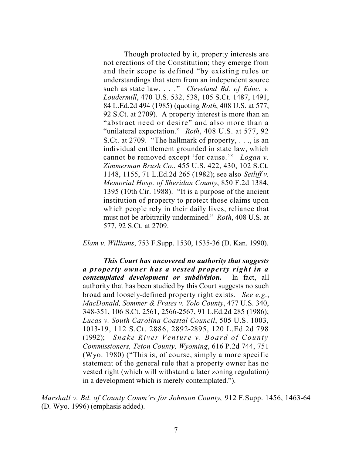Though protected by it, property interests are not creations of the Constitution; they emerge from and their scope is defined "by existing rules or understandings that stem from an independent source such as state law. . . ." *Cleveland Bd. of Educ. v. Loudermill*, 470 U.S. 532, 538, 105 S.Ct. 1487, 1491, 84 L.Ed.2d 494 (1985) (quoting *Roth*, 408 U.S. at 577, 92 S.Ct. at 2709). A property interest is more than an "abstract need or desire" and also more than a "unilateral expectation." *Roth*, 408 U.S. at 577, 92 S.Ct. at 2709. "The hallmark of property, . . ., is an individual entitlement grounded in state law, which cannot be removed except 'for cause.'" *Logan v. Zimmerman Brush Co.*, 455 U.S. 422, 430, 102 S.Ct. 1148, 1155, 71 L.Ed.2d 265 (1982); see also *Setliff v. Memorial Hosp. of Sheridan County*, 850 F.2d 1384, 1395 (10th Cir. 1988). "It is a purpose of the ancient institution of property to protect those claims upon which people rely in their daily lives, reliance that must not be arbitrarily undermined." *Roth*, 408 U.S. at 577, 92 S.Ct. at 2709.

*Elam v. Williams*, 753 F.Supp. 1530, 1535-36 (D. Kan. 1990).

*This Court has uncovered no authority that suggests a property owner has a vested property right in a contemplated development or subdivision.* In fact, all authority that has been studied by this Court suggests no such broad and loosely-defined property right exists. *See e.g.*, *MacDonald, Sommer & Frates v. Yolo County*, 477 U.S. 340, 348-351, 106 S.Ct. 2561, 2566-2567, 91 L.Ed.2d 285 (1986); *Lucas v. South Carolina Coastal Council*, 505 U.S. 1003, 1013-19, 112 S.Ct. 2886, 2892-2895, 120 L.Ed.2d 798 (1992); *Snake River Venture v. Board of County Commissioners, Teton County, Wyoming*, 616 P.2d 744, 751 (Wyo. 1980) ("This is, of course, simply a more specific statement of the general rule that a property owner has no vested right (which will withstand a later zoning regulation) in a development which is merely contemplated.").

*Marshall v. Bd. of County Comm'rs for Johnson County*, 912 F.Supp. 1456, 1463-64 (D. Wyo. 1996) (emphasis added).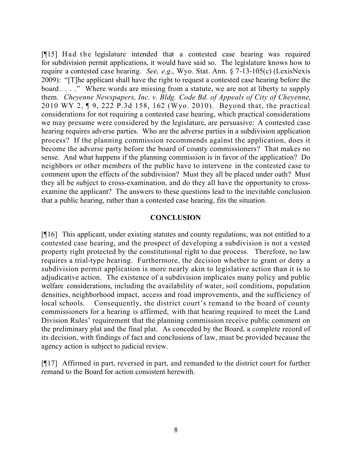[¶15] Had the legislature intended that a contested case hearing was required for subdivision permit applications, it would have said so. The legislature knows how to require a contested case hearing. *See, e.g.*, Wyo. Stat. Ann. § 7-13-105(c) (LexisNexis 2009): "[T]he applicant shall have the right to request a contested case hearing before the board . . . ." Where words are missing from a statute, we are not at liberty to supply them. *Cheyenne Newspapers, Inc. v. Bldg. Code Bd. of Appeals of City of Cheyenne*, 2010 WY 2, ¶ 9, 222 P.3d 158, 162 (Wyo. 2010). Beyond that, the practical considerations for not requiring a contested case hearing, which practical considerations we may presume were considered by the legislature, are persuasive: A contested case hearing requires adverse parties. Who are the adverse parties in a subdivision application process? If the planning commission recommends against the application, does it become the adverse party before the board of county commissioners? That makes no sense. And what happens if the planning commission is in favor of the application? Do neighbors or other members of the public have to intervene in the contested case to comment upon the effects of the subdivision? Must they all be placed under oath? Must they all be subject to cross-examination, and do they all have the opportunity to crossexamine the applicant? The answers to these questions lead to the inevitable conclusion that a public hearing, rather than a contested case hearing, fits the situation.

### **CONCLUSION**

[¶16] This applicant, under existing statutes and county regulations, was not entitled to a contested case hearing, and the prospect of developing a subdivision is not a vested property right protected by the constitutional right to due process. Therefore, no law requires a trial-type hearing. Furthermore, the decision whether to grant or deny a subdivision permit application is more nearly akin to legislative action than it is to adjudicative action. The existence of a subdivision implicates many policy and public welfare considerations, including the availability of water, soil conditions, population densities, neighborhood impact, access and road improvements, and the sufficiency of local schools. Consequently, the district court's remand to the board of county commissioners for a hearing is affirmed, with that hearing required to meet the Land Division Rules' requirement that the planning commission receive public comment on the preliminary plat and the final plat. As conceded by the Board, a complete record of its decision, with findings of fact and conclusions of law, must be provided because the agency action is subject to judicial review.

[¶17] Affirmed in part, reversed in part, and remanded to the district court for further remand to the Board for action consistent herewith.